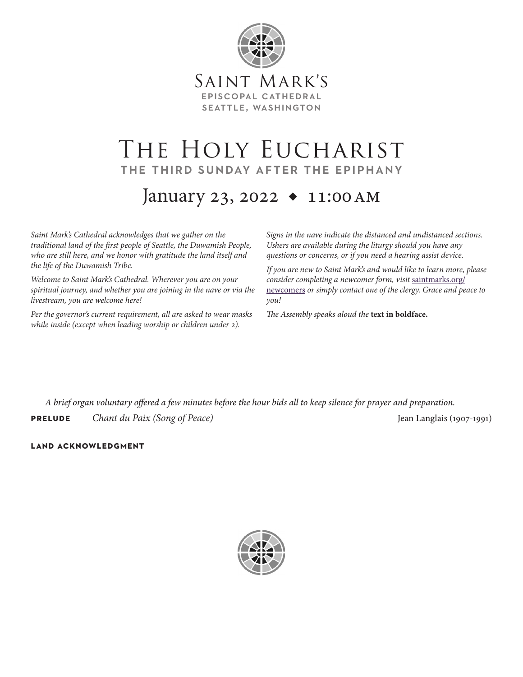

# THE HOLY EUCHARIST the third sunday after the epiphany

## January 23, 2022 ◆ 11:00am

*Saint Mark's Cathedral acknowledges that we gather on the traditional land of the first people of Seattle, the Duwamish People, who are still here, and we honor with gratitude the land itself and the life of the Duwamish Tribe.* 

*Welcome to Saint Mark's Cathedral. Wherever you are on your spiritual journey, and whether you are joining in the nave or via the livestream, you are welcome here!*

*Per the governor's current requirement, all are asked to wear masks while inside (except when leading worship or children under 2).*

*Signs in the nave indicate the distanced and undistanced sections. Ushers are available during the liturgy should you have any questions or concerns, or if you need a hearing assist device.*

*If you are new to Saint Mark's and would like to learn more, please consider completing a newcomer form, visit* saintmarks.org/ newcomers *or simply contact one of the clergy. Grace and peace to you!*

*The Assembly speaks aloud the* **text in boldface.**

*A brief organ voluntary offered a few minutes before the hour bids all to keep silence for prayer and preparation.* **PRELUDE** Chant du Paix (Song of Peace) *Jean Langlais (1907-1991) Jean Langlais (1907-1991)* 

**land acknowledgment**

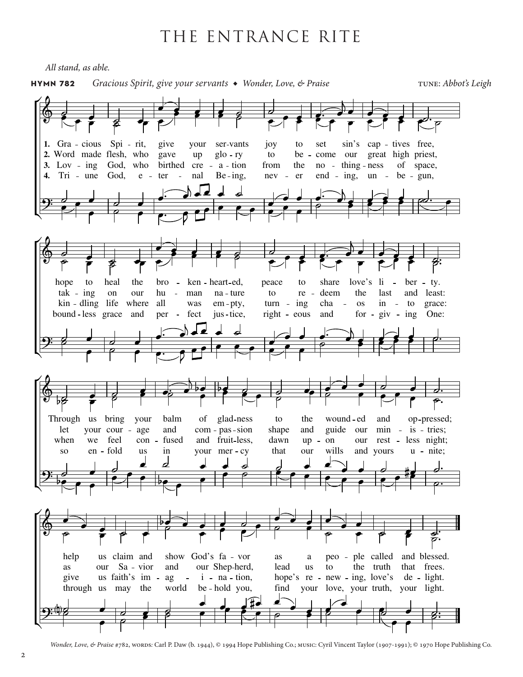## THE ENTRANCE RITE

*All stand, as able.*



*Wonder, Love, & Praise* #782, words: Carl P. Daw (b. 1944), © 1994 Hope Publishing Co.; music: Cyril Vincent Taylor (1907-1991); © 1970 Hope Publishing Co.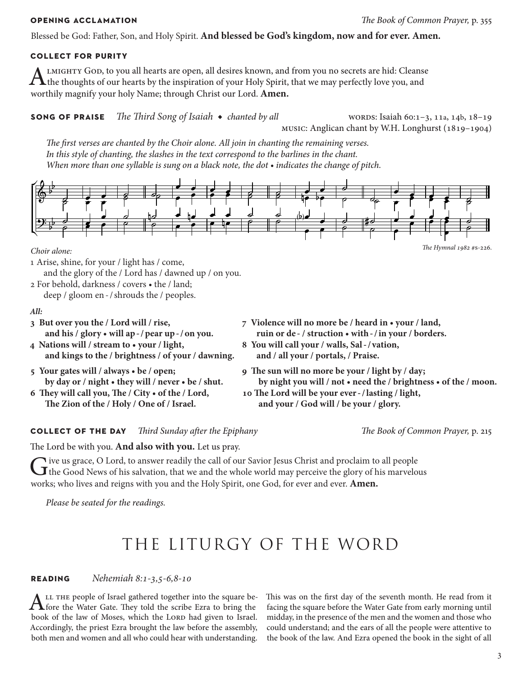Blessed be God: Father, Son, and Holy Spirit. **And blessed be God's kingdom, now and for ever. Amen.**

### **collect for purity**

LMIGHTY GOD, to you all hearts are open, all desires known, and from you no secrets are hid: Cleanse  $\Lambda$  the thoughts of our hearts by the inspiration of your Holy Spirit, that we may perfectly love you, and worthily magnify your holy Name; through Christ our Lord. **Amen.**

**song of PRAISE** *The Third Song of Isaiah* ◆ *chanted by all* words: Isaiah 60:1-3, 11a, 14b, 18–19 music: Anglican chant by W.H. Longhurst (1819–1904)

*The first verses are chanted by the Choir alone. All join in chanting the remaining verses. In this style of chanting, the slashes in the text correspond to the barlines in the chant. When more than one syllable is sung on a black note, the dot • indicates the change of pitch.* 



*Choir alone:*

2 For behold, darkness / covers *•* the / land; deep / gloom en-/shrouds the / peoples.

### *All:*

- **3 But over you the / Lord will / rise, and his / glory • will ap-/pear up-/on you.**
- **4 Nations will / stream to your / light, and kings to the / brightness / of your / dawning.**
- **5 Your gates will / always be / open; by day or / night • they will / never • be / shut.**
- **6 They will call you, The / City of the / Lord, The Zion of the / Holy / One of / Israel.**
- **7 Violence will no more be / heard in your / land, ruin or de - / struction • with-/in your / borders. 8 You will call your / walls, Sal-/ vation,**
- **and / all your / portals, / Praise.**
- **9 The sun will no more be your / light by / day; by night you will / not • need the / brightness • of the / moon. 10 The Lord will be your ever -/lasting / light,**
	- **and your / God will / be your / glory.**

**collect of the day** *Third Sunday after the Epiphany The Book of Common Prayer,* p. 215

The Lord be with you. **And also with you.** Let us pray.

Give us grace, O Lord, to answer readily the call of our Savior Jesus Christ and proclaim to all people the Good News of his salvation, that we and the whole world may perceive the glory of his marvelous works; who lives and reigns with you and the Holy Spirit, one God, for ever and ever. **Amen.**

*Please be seated for the readings.*

## THE LITURGY OF THE WORD

**reading** *Nehemiah 8:1-3,5-6,8-10*

ALL THE people of Israel gathered together into the square be-<br>fore the Water Gate. They told the scribe Ezra to bring the book of the law of Moses, which the LORD had given to Israel. Accordingly, the priest Ezra brought the law before the assembly, both men and women and all who could hear with understanding.

This was on the first day of the seventh month. He read from it facing the square before the Water Gate from early morning until midday, in the presence of the men and the women and those who could understand; and the ears of all the people were attentive to the book of the law. And Ezra opened the book in the sight of all

<sup>1</sup> Arise, shine, for your / light has / come, and the glory of the / Lord has / dawned up / on you.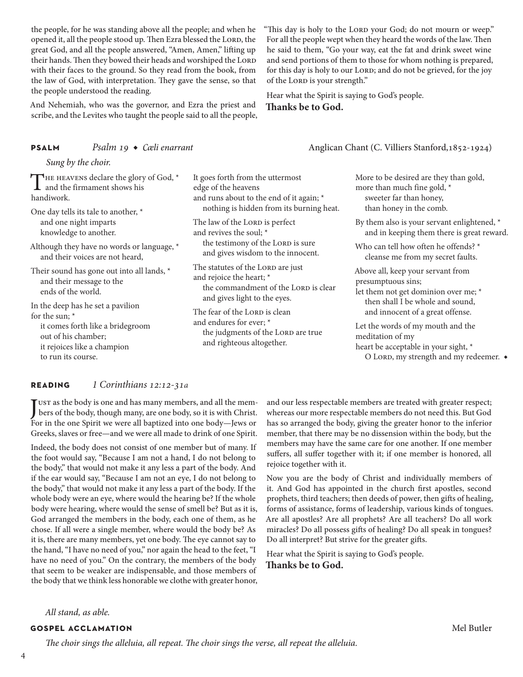the people, for he was standing above all the people; and when he opened it, all the people stood up. Then Ezra blessed the LORD, the great God, and all the people answered, "Amen, Amen," lifting up their hands. Then they bowed their heads and worshiped the LORD with their faces to the ground. So they read from the book, from the law of God, with interpretation. They gave the sense, so that the people understood the reading.

And Nehemiah, who was the governor, and Ezra the priest and scribe, and the Levites who taught the people said to all the people,

| Psalm 19 $\bullet$ Cæli enarrant<br><b>PSALM</b>                                                                                                                    |                                                                                                                                                 | Anglican Chant (C. Villiers Stanford, 1852-1924)                                                                                                                                                                                                                                                                   |
|---------------------------------------------------------------------------------------------------------------------------------------------------------------------|-------------------------------------------------------------------------------------------------------------------------------------------------|--------------------------------------------------------------------------------------------------------------------------------------------------------------------------------------------------------------------------------------------------------------------------------------------------------------------|
| Sung by the choir.                                                                                                                                                  |                                                                                                                                                 |                                                                                                                                                                                                                                                                                                                    |
| THE HEAVENS declare the glory of God, *<br><b>1</b> and the firmament shows his<br>handiwork.<br>One day tells its tale to another, *                               | It goes forth from the uttermost<br>edge of the heavens<br>and runs about to the end of it again; *<br>nothing is hidden from its burning heat. | More to be desired are they than gold,<br>more than much fine gold, *<br>sweeter far than honey,<br>than honey in the comb.                                                                                                                                                                                        |
| and one night imparts<br>knowledge to another.                                                                                                                      | The law of the LORD is perfect<br>and revives the soul; *                                                                                       | By them also is your servant enlightened, *<br>and in keeping them there is great reward.                                                                                                                                                                                                                          |
| Although they have no words or language, *<br>and their voices are not heard,                                                                                       | the testimony of the LORD is sure<br>and gives wisdom to the innocent.                                                                          | Who can tell how often he offends? *<br>cleanse me from my secret faults.                                                                                                                                                                                                                                          |
| Their sound has gone out into all lands, *<br>and their message to the<br>ends of the world.                                                                        | The statutes of the LORD are just<br>and rejoice the heart; *<br>the commandment of the LORD is clear<br>and gives light to the eyes.           | Above all, keep your servant from<br>presumptuous sins;<br>let them not get dominion over me; *<br>then shall I be whole and sound,<br>and innocent of a great offense.<br>Let the words of my mouth and the<br>meditation of my<br>heart be acceptable in your sight, *<br>O LORD, my strength and my redeemer. • |
| In the deep has he set a pavilion<br>for the sun; *<br>it comes forth like a bridegroom<br>out of his chamber;<br>it rejoices like a champion<br>to run its course. | The fear of the LORD is clean<br>and endures for ever; *<br>the judgments of the LORD are true<br>and righteous altogether.                     |                                                                                                                                                                                                                                                                                                                    |

#### **reading** *1 Corinthians 12:12-31a*

JUST as the body is one and has many members, and all the members of the body, though many, are one body, so it is with Christ. bers of the body, though many, are one body, so it is with Christ. For in the one Spirit we were all baptized into one body—Jews or Greeks, slaves or free—and we were all made to drink of one Spirit.

Indeed, the body does not consist of one member but of many. If the foot would say, "Because I am not a hand, I do not belong to the body," that would not make it any less a part of the body. And if the ear would say, "Because I am not an eye, I do not belong to the body," that would not make it any less a part of the body. If the whole body were an eye, where would the hearing be? If the whole body were hearing, where would the sense of smell be? But as it is, God arranged the members in the body, each one of them, as he chose. If all were a single member, where would the body be? As it is, there are many members, yet one body. The eye cannot say to the hand, "I have no need of you," nor again the head to the feet, "I have no need of you." On the contrary, the members of the body that seem to be weaker are indispensable, and those members of the body that we think less honorable we clothe with greater honor, and our less respectable members are treated with greater respect; whereas our more respectable members do not need this. But God has so arranged the body, giving the greater honor to the inferior member, that there may be no dissension within the body, but the members may have the same care for one another. If one member suffers, all suffer together with it; if one member is honored, all rejoice together with it.

Now you are the body of Christ and individually members of it. And God has appointed in the church first apostles, second prophets, third teachers; then deeds of power, then gifts of healing, forms of assistance, forms of leadership, various kinds of tongues. Are all apostles? Are all prophets? Are all teachers? Do all work miracles? Do all possess gifts of healing? Do all speak in tongues? Do all interpret? But strive for the greater gifts.

Hear what the Spirit is saying to God's people. **Thanks be to God.**

*All stand, as able.* 

**GOSPEL ACCLAMATION Mel Butler** 

*The choir sings the alleluia, all repeat. The choir sings the verse, all repeat the alleluia.*

"This day is holy to the LORD your God; do not mourn or weep." For all the people wept when they heard the words of the law. Then he said to them, "Go your way, eat the fat and drink sweet wine and send portions of them to those for whom nothing is prepared, for this day is holy to our LORD; and do not be grieved, for the joy of the LORD is your strength."

Hear what the Spirit is saying to God's people. **Thanks be to God.**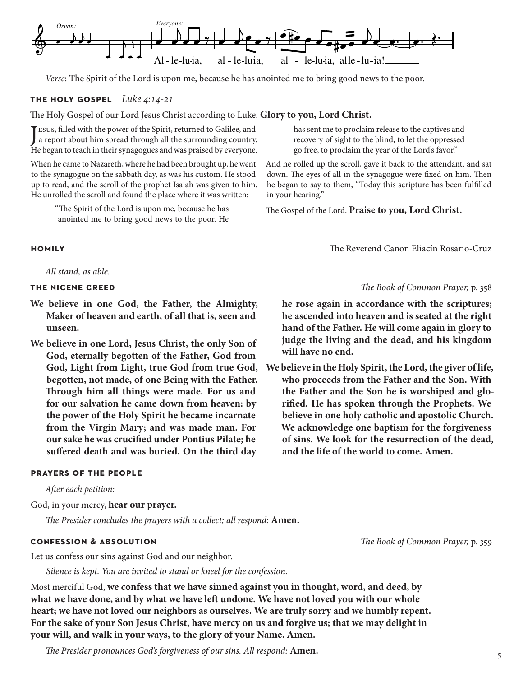

*Verse*: The Spirit of the Lord is upon me, because he has anointed me to bring good news to the poor.

### **the holy gospel** *Luke 4:14-21*

The Holy Gospel of our Lord Jesus Christ according to Luke. **Glory to you, Lord Christ.**

J a report about him spread through all the surrounding country. TESUS, filled with the power of the Spirit, returned to Galilee, and He began to teach in their synagogues and was praised by everyone.

When he came to Nazareth, where he had been brought up, he went to the synagogue on the sabbath day, as was his custom. He stood up to read, and the scroll of the prophet Isaiah was given to him. He unrolled the scroll and found the place where it was written:

> "The Spirit of the Lord is upon me, because he has anointed me to bring good news to the poor. He

has sent me to proclaim release to the captives and recovery of sight to the blind, to let the oppressed go free, to proclaim the year of the Lord's favor."

And he rolled up the scroll, gave it back to the attendant, and sat down. The eyes of all in the synagogue were fixed on him. Then he began to say to them, "Today this scripture has been fulfilled in your hearing."

The Gospel of the Lord. **Praise to you, Lord Christ.**

**homily** The Reverend Canon Eliacín Rosario-Cruz

*All stand, as able.*

- **We believe in one God, the Father, the Almighty, Maker of heaven and earth, of all that is, seen and unseen.**
- **We believe in one Lord, Jesus Christ, the only Son of God, eternally begotten of the Father, God from God, Light from Light, true God from true God, begotten, not made, of one Being with the Father. Through him all things were made. For us and for our salvation he came down from heaven: by the power of the Holy Spirit he became incarnate from the Virgin Mary; and was made man. For our sake he was crucified under Pontius Pilate; he suffered death and was buried. On the third day**

#### **prayers of the people**

*After each petition:*

God, in your mercy, **hear our prayer.**

*The Presider concludes the prayers with a collect; all respond:* **Amen.**

Let us confess our sins against God and our neighbor.

*Silence is kept. You are invited to stand or kneel for the confession.*

Most merciful God, **we confess that we have sinned against you in thought, word, and deed, by what we have done, and by what we have left undone. We have not loved you with our whole heart; we have not loved our neighbors as ourselves. We are truly sorry and we humbly repent. For the sake of your Son Jesus Christ, have mercy on us and forgive us; that we may delight in your will, and walk in your ways, to the glory of your Name. Amen.**

*The Presider pronounces God's forgiveness of our sins. All respond:* **Amen.**

**the nicene creed** *The Book of Common Prayer,* p. 358

**he rose again in accordance with the scriptures; he ascended into heaven and is seated at the right hand of the Father. He will come again in glory to judge the living and the dead, and his kingdom will have no end.**

**We believe in the Holy Spirit, the Lord, the giver of life, who proceeds from the Father and the Son. With the Father and the Son he is worshiped and glorified. He has spoken through the Prophets. We believe in one holy catholic and apostolic Church. We acknowledge one baptism for the forgiveness of sins. We look for the resurrection of the dead, and the life of the world to come. Amen.**

**confession & absolution** *The Book of Common Prayer,* p. 359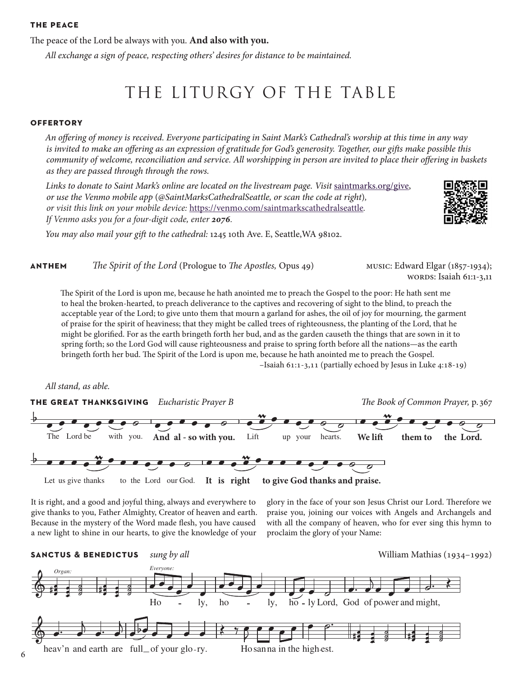#### **the peace**

The peace of the Lord be always with you. **And also with you.**

*All exchange a sign of peace, respecting others' desires for distance to be maintained.* 

# THE LITURGY OF THE TABLE

### **offertory**

*An offering of money is received. Everyone participating in Saint Mark's Cathedral's worship at this time in any way is invited to make an offering as an expression of gratitude for God's generosity. Together, our gifts make possible this community of welcome, reconciliation and service. All worshipping in person are invited to place their offering in baskets as they are passed through through the rows.* 

Links to donate to Saint Mark's online are located on the livestream page. Visit <u>saintmarks.org/give</u>, *or use the Venmo mobile app* (*@SaintMarksCathedralSeattle, or scan the code at right*)*, or visit this link on your mobile device:* <https://venmo.com/saintmarkscathedralseattle>*. If Venmo asks you for a four-digit code, enter 2076.*

*You may also mail your gift to the cathedral:* 1245 10th Ave. E, Seattle,WA 98102.



words: Isaiah 61:1-3,11

The Spirit of the Lord is upon me, because he hath anointed me to preach the Gospel to the poor: He hath sent me to heal the broken-hearted, to preach deliverance to the captives and recovering of sight to the blind, to preach the acceptable year of the Lord; to give unto them that mourn a garland for ashes, the oil of joy for mourning, the garment of praise for the spirit of heaviness; that they might be called trees of righteousness, the planting of the Lord, that he might be glorified. For as the earth bringeth forth her bud, and as the garden causeth the things that are sown in it to spring forth; so the Lord God will cause righteousness and praise to spring forth before all the nations—as the earth bringeth forth her bud. The Spirit of the Lord is upon me, because he hath anointed me to preach the Gospel. –Isaiah 61:1-3,11 (partially echoed by Jesus in Luke 4:18-19)  $rac{1}{2}$ 

.<br>All stand, as able.



It is right, and a good and joyful thing, always and everywhere to It is right, and a good and joyful thing, always and everywhere to<br>give thanks to you, Father Almighty, Creator of heaven and earth.<br>Because in the mystery of the Word made flesh, you have caused give thanks to you, Father Almighty, Creator of heaven and earth.<br>Because in the mystery of the Word made flesh, you have caused a new light to shine in our hearts, to give the knowledge of your

glory in the face of your son Jesus Christ our Lord. Therefore we et to glory in the face of your son jesus Christ our Lord. Therefore we<br>praise you, joining our voices with Angels and Archangels and<br>sed with all the company of heaven, who for ever sing this hymn to praise you, joining our voices with Angels and Archangels and with all the company of heaven, who for ever sing this hymn to proclaim the glory of your Name:

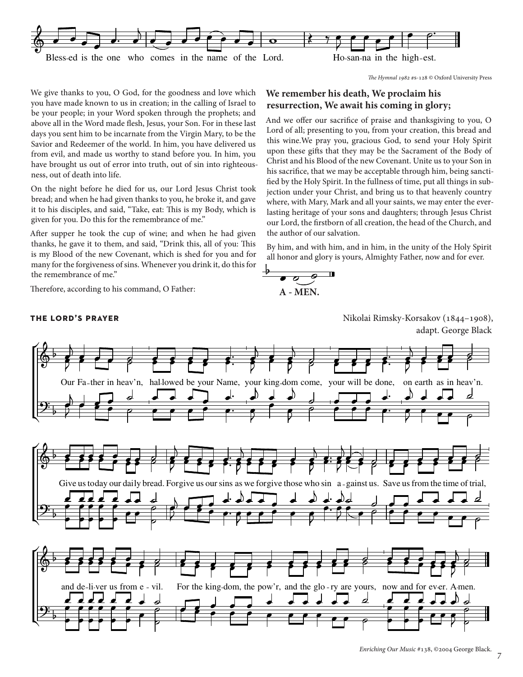

*The Hymnal 1982* #s-128 © Oxford University Press

We give thanks to you, O God, for the goodness and love which you have made known to us in creation; in the calling of Israel to be your people; in your Word spoken through the prophets; and above all in the Word made flesh, Jesus, your Son. For in these last days you sent him to be incarnate from the Virgin Mary, to be the Savior and Redeemer of the world. In him, you have delivered us from evil, and made us worthy to stand before you. In him, you have brought us out of error into truth, out of sin into righteousness, out of death into life.

On the night before he died for us, our Lord Jesus Christ took bread; and when he had given thanks to you, he broke it, and gave it to his disciples, and said, "Take, eat: This is my Body, which is given for you. Do this for the remembrance of me."

After supper he took the cup of wine; and when he had given thanks, he gave it to them, and said, "Drink this, all of you: This is my Blood of the new Covenant, which is shed for you and for many for the forgiveness of sins. Whenever you drink it, do this for the remembrance of me."

Therefore, according to his command, O Father:

### **We remember his death, We proclaim his resurrection, We await his coming in glory;**

And we offer our sacrifice of praise and thanksgiving to you, O Lord of all; presenting to you, from your creation, this bread and this wine. We pray you, gracious God, to send your Holy Spirit upon these gifts that they may be the Sacrament of the Body of Christ and his Blood of the new Covenant. Unite us to your Son in Christ and his Blood of the new Covenant. Unite us to your Son in<br>his sacrifice, that we may be acceptable through him, being sanctified by the Holy Spirit. In the fullness of time, put all things in subjection under your Christ, and bring us to that heavenly country them to lift the Lift up hearts. We your where, with Mary, Mark and all your saints, we may enter the everlasting heritage of your sons and daughters; through Jesus Christ lasting heritage of your sons and daughters; through Jesus Christ<br>our Lord, the firstborn of all creation, the head of the Church, and the author of our salvation. ∎<br>A ist<br>nd

By him, and with him, and in him, in the unity of the Holy Spirit all honor and glory is yours, Almighty Father, now and for ever. is right us give thanks Let our God. the It to Lord

$$
\frac{b}{A \cdot \text{MEN.}}
$$

#### **THE LORD'S PRAYER the lord's proposed by the lord's proposed by the Nikolai Rimsky-Korsakov (1844–1908),**  adapt. George Black 8 \$ Our Fa-ther in heav'n, hallowed be your Name, your king-dom come, your will be done,  $\blacksquare$ e<br>F  $\overline{\phantom{a}}$ é \$ 7  $\ddot{\phantom{0}}$ :  $\overline{\bullet}$  $\vec{r}$ on earth as in heav'n.  $\bullet$  $\overline{\mathbf{f}}$  $\overline{\bullet}$  $\overline{\mathbf{z}}$  $\bullet$  $\overline{\phantom{a}}$ :  $\ddot{\phantom{a}}$  $\overline{a}$ 70 L  $\bullet$ e<br>P  $\overline{\bullet}$  $\vec{r}$  $\overline{\phantom{a}}$  $\overline{\mathbf{r}}$  $\overline{a}$  $\overline{\phantom{a}}$ 81 3  $\bullet$ é  $\overline{\mathbf{z}}$  $\overline{\phantom{a}}$  $\overline{P}$  $\overline{\bullet}$ \$  $\bullet$  $\overline{\epsilon}$  $\overline{a}$  $\overline{\phantom{a}}$  $\overline{\phantom{a}}$  $\overline{\phantom{a}}$ P.  $\overline{\phantom{a}}$  $\overline{\phantom{a}}$  $\overline{\phantom{a}}$ ź <u>J</u>  $\overline{\phantom{a}}$  $\overline{\mathbf{z}}$  $\bullet$  $\overline{P}$ PL.  $\blacksquare$ é<br>F  $\overline{\bullet}$  $\overline{\mathbf{z}}$  $\bullet$  $\begin{array}{c} \begin{array}{c} \bullet \\ \bullet \end{array} \end{array}$  $\ddot{\phantom{0}}$  $\overline{a}$  $\overline{\phantom{a}}$  $\overline{a}$ ŕ Ľ  $\overset{\leftrightarrow}{\Phi}$  , 6  $\begin{array}{c}\n\begin{array}{c}\n\bullet \\
\bullet \\
\end{array}\n\end{array}$   $\begin{array}{c}\n\text{Our Fa-the} \\
\text{Our Fa-the} \\
\end{array}$ **,** f  $\overline{\bullet}$ pa<br>P  $\frac{1}{\sqrt{2}}$  $\overline{\bullet}$  $\vec{r}$  $\bullet$  $\overline{\mathbf{r}}$  $\overrightarrow{s}$ 7  $\overline{\phantom{a}}$  $\overline{\phantom{a}}$ :  $\ddot{\phantom{a}}$  $\ddot{\phantom{0}}$  $\overline{\phantom{a}}$ ź <u>|</u> é  $\overline{\phantom{a}}$  $\overline{\phantom{a}}$  $\overline{\bullet}$  $\overline{\mathbf{z}}$  $\bullet$  $\overline{\phantom{a}}$  $\overline{\bullet}$ \$  $\blacksquare$  $\overline{\phantom{a}}$ 81 3  $\bullet$ é 700 Give us today our daily bread. For give us our sins as we for give those who sin a-gainst us. Save us from the time of trial,  $\bullet$  $\frac{1}{2}$  $\overline{\phantom{a}}$ \$  $\overline{\bullet}$  $\mathcal{H}$  $\bullet$ É  $\overline{a}$  $\overline{\bullet}$  $\overline{z}$  \$  $\overline{\phantom{a}}$ é  $\overline{\mathbf{B}}$  $\overline{\mathbf{a}}$  $\frac{\partial}{\partial \rho}$  $\overline{\bullet}$ \$  $\overline{\phantom{a}}$  $\overline{\phantom{a}}$ 81 \$  $\bullet$  $\frac{\bullet}{\mathsf{P}}$  $\overline{\bullet}$ pe .  $\bullet$ é  $\ddot{\cdot}$  $\ddot{\cdot}$  $\ddot{\phantom{0}}$ :  $\overline{\bullet}$  $\vec{r}$  $\overline{\phantom{a}}$  $\overline{\bf{f}}$  $\overline{a}$  $\overline{\phantom{a}}$  $\overline{'}$  $\overline{\phantom{a}}$ ŕ  $\overline{\mathbf{z}}$  $\overline{\phantom{a}}$   $\overline{\bullet}$ \$  $\bullet$  $\overline{\phantom{a}}$ 8 \$  $\blacksquare$ é  $\overline{\bullet}$ pe .  $\bullet$  $\overline{ }$  $\overline{\phantom{a}}$ Ź  $\overline{\bullet}$  $\vec{\bm{s}}$  $\overline{\phantom{a}}$  $\overline{\phantom{a}}$  $\overline{\bullet}$  $\vec{\bm{s}}$  $\overline{\phantom{a}}$  $\overline{\phantom{a}}$  $\overline{\bullet}$ P  $\overline{\phantom{a}}$ ╞ e<br>P 78 L  $\bullet$ e<br>P  $\overline{\nu}$  $\overline{\bullet}$ \$  $\overline{\phantom{a}}$  $\overline{\phantom{a}}$  $\overline{\bullet}$ 3  $\overline{\phantom{a}}$ |<br>| e<br>P  $\overline{\bullet}$  $\overline{\mathbf{z}}$ ŕ Ľ ֍⊧  $\mathbf{\mathcal{Y}_{b}}$ e<br>P  $\overline{\bullet}$  $\overline{\mathbf{z}}$  $\overline{\phantom{a}}$ |<br>| e<br>P  $\overline{\phantom{a}}$ ╞ e<br>P  $\overline{\bullet}$  $\overline{\mathbf{z}}$  $\overline{\phantom{a}}$ ╞  $\ddot{\phantom{0}}$  $\overline{\phantom{a}}$  $\overline{\bullet}$  $\vec{r}$  $\overline{\phantom{a}}$  $\overline{\mathbf{g}}$  $\overline{a}$  $\overline{ }$  $\overline{\bullet}$  $\overline{\mathbf{z}}$  $\bullet$  $\overline{\phantom{a}}$ :  $\cdot$   $\overrightarrow{5}$   $\overrightarrow{5}$ \$  $\overline{\phantom{a}}$  $\overline{\phantom{a}}$  $\overline{a}$  $\overline{\bullet}$ \$  $\bullet$  $\overline{\phantom{a}}$  $\overline{\bullet}$ p<br>P ┙  $\overline{\bullet}$ ś  $\overline{\mathbf{r}}$  $\overline{a}$  $\overline{a}$  $\overline{\phantom{a}}$  $\overline{z}$ 81 \$  $\blacksquare$  $\frac{\bullet}{\mathsf{P}}$  $\overline{\bullet}$  $\overline{\mathbf{z}}$ **)** f  $\overline{\bullet}$  $\overline{\mathbf{z}}$ For the king-dom, the pow'r, and the glo-ry are yours, now and for ever. A men.  $\overline{\phantom{a}}$ ╞ e<br>P  $\overline{\mathbf{B}}$ J  $\overline{\epsilon}$  $\overline{\bullet}$  $\overline{\mathbf{z}}$  $\overline{\phantom{a}}$ ╞ e<br>P  $\blacksquare$  $\overline{1}$  $\frac{1}{2}$  ,  $\frac{1}{2}$  $\overline{\phantom{a}}$ e  $\overline{\bullet}$ F 81 3  $\blacksquare$  $\overline{\phantom{a}}$  $\bullet$ e  $\overline{\bullet}$ 3  $\bullet$  $\overline{\epsilon}$  $\overline{\phantom{a}}$ 78 L  $\overline{\bullet}$  $\frac{2}{3}$  $\overline{\phantom{0}}$  $\overline{\bullet}$ F  $\bullet$  $\overline{1}$  $\overline{\bullet}$ ŕ  $\overline{\phantom{a}}$ F e<br>P  $\overline{\bullet}$ ś  $\bullet$  $\overline{\mathbf{f}}$  $\overline{a}$  $\overline{\phantom{a}}$  $\overline{\bullet}$ 7  $\overline{\phantom{a}}$ e  $\overline{\bullet}$  $\overline{\mathbf{z}}$ and de-li-ver us from e - vil.  $\overline{\phantom{a}}$ ╞ e<br>P  $\overline{\bullet}$  $\vec{ }$  $\overline{\phantom{a}}$ L e<br>P  $\overline{\bullet}$ 7  $\overline{\phantom{a}}$ e  $\overline{\bullet}$ ŕ  $\overline{\phantom{a}}$ ╞ e<br>P  $\overline{\bullet}$  $\overrightarrow{ }$  $\overline{\phantom{a}}$ ╞ e<br>P ŕ Ľ ֍⊧  $\frac{1}{2}$  $\overline{\bullet}$  $\overline{\mathbf{z}}$  $\overline{\phantom{a}}$ ╞ e<br>P  $\overline{\bullet}$ É  $\overline{\phantom{a}}$ L e<br>P  $\overline{\phantom{a}}$ 3 <u>|</u> é  $\overline{\bullet}$ 3 <u>|</u> é  $\overline{\bullet}$ 3  $\bullet$ e  $\frac{1}{2}$   $\frac{1}{2}$   $\frac{1}{2}$ 3  $\overline{\phantom{a}}$  $\mathbf{\tilde{e}}$  $\overline{\bullet}$ \$ ┙ - 100 L  $\frac{1}{2}$  $\frac{2}{3}$  $\overline{\phantom{0}}$  $\overline{\bullet}$ 3 7 ź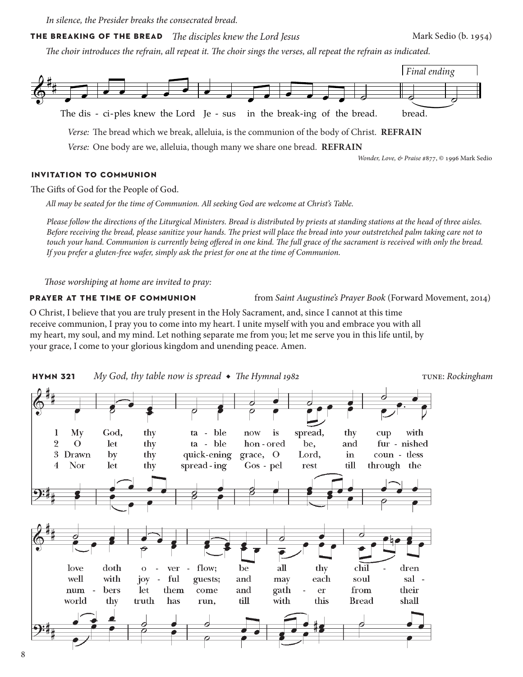*In silence, the Presider breaks the consecrated bread.*

### **the breaking of the bread** *The disciples knew the Lord Jesus* Mark Sedio (b. 1954)

The choir introduces the refrain, all repeat it. The choir sings the verses, all repeat the refrain as indicated.



*Verse:* The bread which we break, alleluia, is the communion of the body of Christ. **REFRAIN** 1. The bread which we break, alleluia, is the communion of the body of Christ. *Refrain.*

Verse: One body are we, alleluia, though many we share one bread. REFRAIN

*Wonder, Love, & Praise* #877, © 1996 Mark Sedio

### **invitation to communion**

The Gifts of God for the People of God.

*All may be seated for the time of Communion. All seeking God are welcome at Christ's Table.* 

*Please follow the directions of the Liturgical Ministers. Bread is distributed by priests at standing stations at the head of three aisles. Before receiving the bread, please sanitize your hands. The priest will place the bread into your outstretched palm taking care not to touch your hand. Communion is currently being offered in one kind. The full grace of the sacrament is received with only the bread. If you prefer a gluten-free wafer, simply ask the priest for one at the time of Communion.*

*Those worshiping at home are invited to pray:*

**prayer at the time of communion** from *Saint Augustine's Prayer Book* (Forward Movement, 2014)

O Christ, I believe that you are truly present in the Holy Sacrament, and, since I cannot at this time receive communion, I pray you to come into my heart. I unite myself with you and embrace you with all my heart, my soul, and my mind. Let nothing separate me from you; let me serve you in this life until, by your grace, I come to your glorious kingdom and unending peace. Amen.



**hymn 321** *My God, thy table now is spread ◆ The Hymnal 1982* **the figure 10 tunned** TUNE: *Rockingham*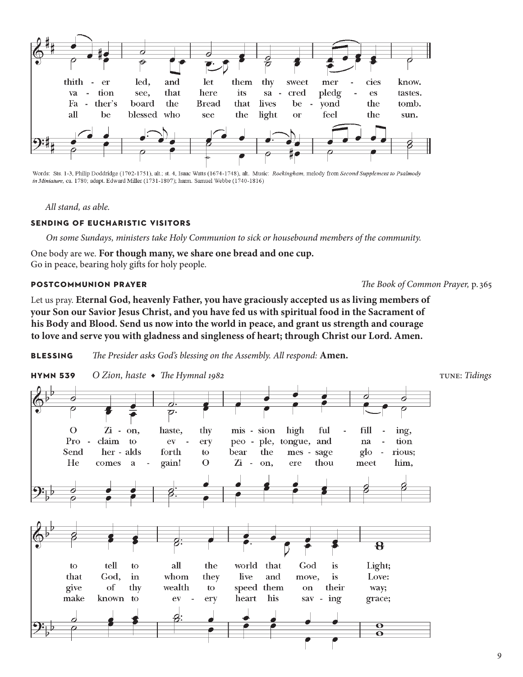

Words: Sts. 1-3, Philip Doddridge (1702-1751), alt.; st. 4, Isaac Watts (1674-1748), alt. Music: Rockingham, melody from Second Supplement to Psalmody in Miniature, ca. 1780; adapt. Edward Miller (1731-1807); harm. Samuel Webbe (1740-1816)

#### *All stand, as able.*

#### **sending of eucharistic visitors**

*On some Sundays, ministers take Holy Communion to sick or housebound members of the community.* 

One body are we. **For though many, we share one bread and one cup.** Go in peace, bearing holy gifts for holy people.

**postcommunion prayer** *The Book of Common Prayer,* p. 365

Let us pray. **Eternal God, heavenly Father, you have graciously accepted us as living members of your Son our Savior Jesus Christ, and you have fed us with spiritual food in the Sacrament of his Body and Blood. Send us now into the world in peace, and grant us strength and courage to love and serve you with gladness and singleness of heart; through Christ our Lord. Amen.**

**blessing** *The Presider asks God's blessing on the Assembly. All respond:* **Amen.**

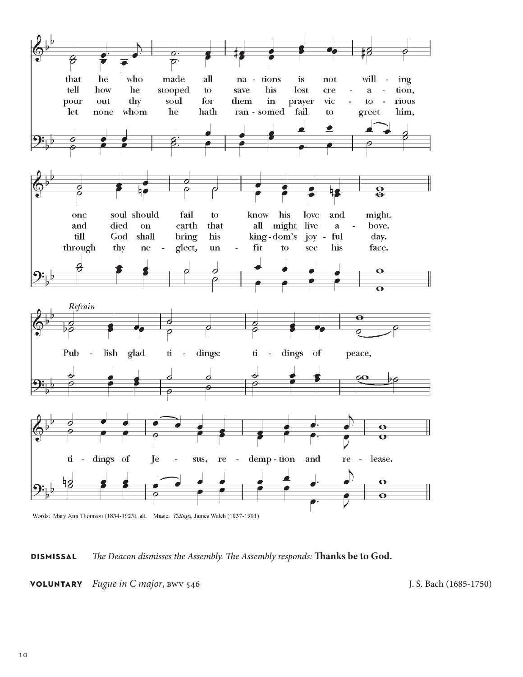



**dismissal** *The Deacon dismisses the Assembly. The Assembly responds:* **Thanks be to God.** 

**voluntary** *Fugue in C major*, bwv 546J. S. Bach (1685-1750)